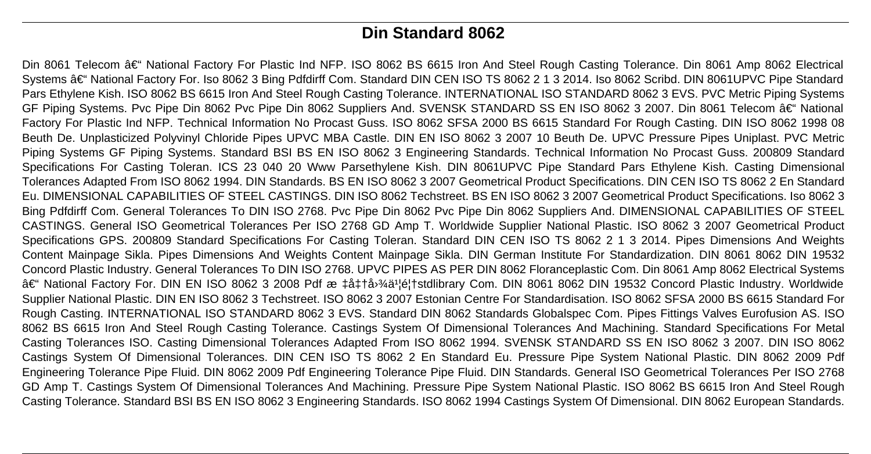# **Din Standard 8062**

Din 8061 Telecom – National Factory For Plastic Ind NFP. ISO 8062 BS 6615 Iron And Steel Rough Casting Tolerance. Din 8061 Amp 8062 Electrical Systems †National Factory For. Iso 8062 3 Bing Pdfdirff Com. Standard DIN CEN ISO TS 8062 2 1 3 2014. Iso 8062 Scribd. DIN 8061UPVC Pipe Standard Pars Ethylene Kish. ISO 8062 BS 6615 Iron And Steel Rough Casting Tolerance. INTERNATIONAL ISO STANDARD 8062 3 EVS. PVC Metric Piping Systems GF Piping Systems. Pvc Pipe Din 8062 Pvc Pipe Din 8062 Suppliers And. SVENSK STANDARD SS EN ISO 8062 3 2007. Din 8061 Telecom †National Factory For Plastic Ind NFP. Technical Information No Procast Guss. ISO 8062 SFSA 2000 BS 6615 Standard For Rough Casting. DIN ISO 8062 1998 08 Beuth De. Unplasticized Polyvinyl Chloride Pipes UPVC MBA Castle. DIN EN ISO 8062 3 2007 10 Beuth De. UPVC Pressure Pipes Uniplast. PVC Metric Piping Systems GF Piping Systems. Standard BSI BS EN ISO 8062 3 Engineering Standards. Technical Information No Procast Guss. 200809 Standard Specifications For Casting Toleran. ICS 23 040 20 Www Parsethylene Kish. DIN 8061UPVC Pipe Standard Pars Ethylene Kish. Casting Dimensional Tolerances Adapted From ISO 8062 1994. DIN Standards. BS EN ISO 8062 3 2007 Geometrical Product Specifications. DIN CEN ISO TS 8062 2 En Standard Eu. DIMENSIONAL CAPABILITIES OF STEEL CASTINGS. DIN ISO 8062 Techstreet. BS EN ISO 8062 3 2007 Geometrical Product Specifications. Iso 8062 3 Bing Pdfdirff Com. General Tolerances To DIN ISO 2768. Pvc Pipe Din 8062 Pvc Pipe Din 8062 Suppliers And. DIMENSIONAL CAPABILITIES OF STEEL CASTINGS. General ISO Geometrical Tolerances Per ISO 2768 GD Amp T. Worldwide Supplier National Plastic. ISO 8062 3 2007 Geometrical Product Specifications GPS. 200809 Standard Specifications For Casting Toleran. Standard DIN CEN ISO TS 8062 2 1 3 2014. Pipes Dimensions And Weights Content Mainpage Sikla. Pipes Dimensions And Weights Content Mainpage Sikla. DIN German Institute For Standardization. DIN 8061 8062 DIN 19532 Concord Plastic Industry. General Tolerances To DIN ISO 2768. UPVC PIPES AS PER DIN 8062 Floranceplastic Com. Din 8061 Amp 8062 Electrical Systems – National Factory For. DIN EN ISO 8062 3 2008 Pdf æ ‡å‡†å<sup>,</sup>¾ä<sup>1</sup>¦é¦†stdlibrary Com. DIN 8061 8062 DIN 19532 Concord Plastic Industry. Worldwide Supplier National Plastic. DIN EN ISO 8062 3 Techstreet. ISO 8062 3 2007 Estonian Centre For Standardisation. ISO 8062 SFSA 2000 BS 6615 Standard For Rough Casting. INTERNATIONAL ISO STANDARD 8062 3 EVS. Standard DIN 8062 Standards Globalspec Com. Pipes Fittings Valves Eurofusion AS. ISO 8062 BS 6615 Iron And Steel Rough Casting Tolerance. Castings System Of Dimensional Tolerances And Machining. Standard Specifications For Metal Casting Tolerances ISO. Casting Dimensional Tolerances Adapted From ISO 8062 1994. SVENSK STANDARD SS EN ISO 8062 3 2007. DIN ISO 8062 Castings System Of Dimensional Tolerances. DIN CEN ISO TS 8062 2 En Standard Eu. Pressure Pipe System National Plastic. DIN 8062 2009 Pdf Engineering Tolerance Pipe Fluid. DIN 8062 2009 Pdf Engineering Tolerance Pipe Fluid. DIN Standards. General ISO Geometrical Tolerances Per ISO 2768 GD Amp T. Castings System Of Dimensional Tolerances And Machining. Pressure Pipe System National Plastic. ISO 8062 BS 6615 Iron And Steel Rough Casting Tolerance. Standard BSI BS EN ISO 8062 3 Engineering Standards. ISO 8062 1994 Castings System Of Dimensional. DIN 8062 European Standards.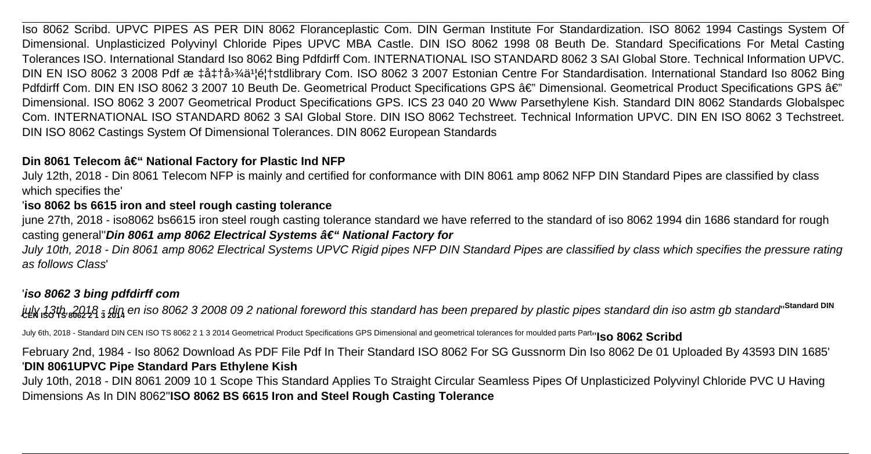Iso 8062 Scribd. UPVC PIPES AS PER DIN 8062 Floranceplastic Com. DIN German Institute For Standardization. ISO 8062 1994 Castings System Of Dimensional. Unplasticized Polyvinyl Chloride Pipes UPVC MBA Castle. DIN ISO 8062 1998 08 Beuth De. Standard Specifications For Metal Casting Tolerances ISO. International Standard Iso 8062 Bing Pdfdirff Com. INTERNATIONAL ISO STANDARD 8062 3 SAI Global Store. Technical Information UPVC. DIN EN ISO 8062 3 2008 Pdf æ  $\pm \hat{a} + \hat{a} + \hat{a} + \hat{a} + \hat{a} + \hat{a} + \hat{a} + \hat{a} + \hat{a} + \hat{a} + \hat{a} + \hat{a} + \hat{a} + \hat{a} + \hat{a} + \hat{a} + \hat{a} + \hat{a} + \hat{a} + \hat{a} + \hat{a} + \hat{a} + \hat{a} + \hat{a} + \hat{a} + \hat{a} + \hat{a} + \hat{a} + \hat{a} + \hat{a} + \hat{a} + \hat{a$ Pdfdirff Com. DIN EN ISO 8062 3 2007 10 Beuth De. Geometrical Product Specifications GPS â€" Dimensional. Geometrical Product Specifications GPS â€" Dimensional. ISO 8062 3 2007 Geometrical Product Specifications GPS. ICS 23 040 20 Www Parsethylene Kish. Standard DIN 8062 Standards Globalspec Com. INTERNATIONAL ISO STANDARD 8062 3 SAI Global Store. DIN ISO 8062 Techstreet. Technical Information UPVC. DIN EN ISO 8062 3 Techstreet. DIN ISO 8062 Castings System Of Dimensional Tolerances. DIN 8062 European Standards

## **Din 8061 Telecom – National Factory for Plastic Ind NFP**

July 12th, 2018 - Din 8061 Telecom NFP is mainly and certified for conformance with DIN 8061 amp 8062 NFP DIN Standard Pipes are classified by class which specifies the'

## '**iso 8062 bs 6615 iron and steel rough casting tolerance**

june 27th, 2018 - iso8062 bs6615 iron steel rough casting tolerance standard we have referred to the standard of iso 8062 1994 din 1686 standard for rough casting general"**Din 8061 amp 8062 Electrical Systems a€** "**National Factory for** 

July 10th, 2018 - Din 8061 amp 8062 Electrical Systems UPVC Rigid pipes NFP DIN Standard Pipes are classified by class which specifies the pressure rating as follows Class'

# '**iso 8062 3 bing pdfdirff com**

july 13th, 2018 - din en iso 8062 3 2008 09 2 national foreword this standard has been prepared by plastic pipes standard din iso astm gb standard'' **Standard DIN CEN ISO TS 8062 2 1 3 2014**

July 6th, 2018 - Standard DIN CEN ISO TS 8062 2 1 3 2014 Geometrical Product Specifications GPS Dimensional and geometrical tolerances for moulded parts Part<sub>t</sub>'ISO 8062 Scribd

February 2nd, 1984 - Iso 8062 Download As PDF File Pdf In Their Standard ISO 8062 For SG Gussnorm Din Iso 8062 De 01 Uploaded By 43593 DIN 1685' '**DIN 8061UPVC Pipe Standard Pars Ethylene Kish**

July 10th, 2018 - DIN 8061 2009 10 1 Scope This Standard Applies To Straight Circular Seamless Pipes Of Unplasticized Polyvinyl Chloride PVC U Having Dimensions As In DIN 8062''**ISO 8062 BS 6615 Iron and Steel Rough Casting Tolerance**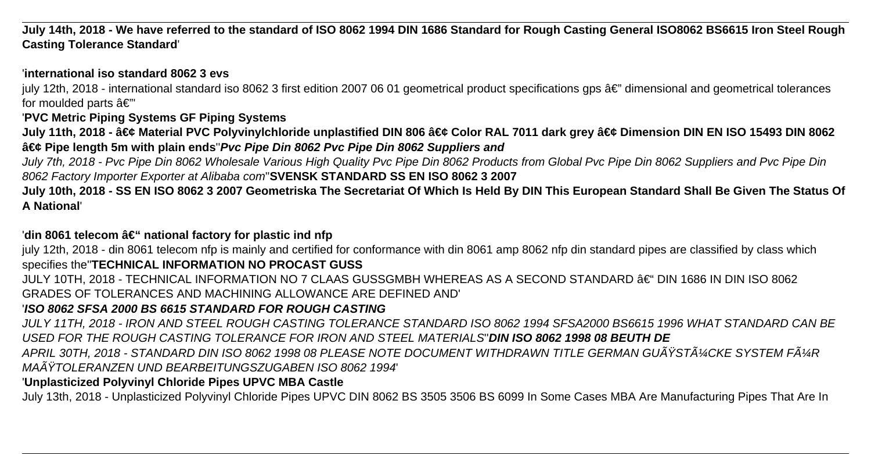**July 14th, 2018 - We have referred to the standard of ISO 8062 1994 DIN 1686 Standard for Rough Casting General ISO8062 BS6615 Iron Steel Rough Casting Tolerance Standard**'

## '**international iso standard 8062 3 evs**

july 12th, 2018 - international standard iso 8062 3 first edition 2007 06 01 geometrical product specifications gps  $\hat{a}\epsilon$ " dimensional and geometrical tolerances for moulded parts  $a \notin \mathbb{Z}$ 

# '**PVC Metric Piping Systems GF Piping Systems**

July 11th, 2018 - • Material PVC Polyvinylchloride unplastified DIN 806 • Color RAL 7011 dark grey • Dimension DIN EN ISO 15493 DIN 8062 • Pipe length 5m with plain ends *Pvc Pipe Din 8062 Pvc Pipe Din 8062 Suppliers and* 

July 7th, 2018 - Pvc Pipe Din 8062 Wholesale Various High Quality Pvc Pipe Din 8062 Products from Global Pvc Pipe Din 8062 Suppliers and Pvc Pipe Din 8062 Factory Importer Exporter at Alibaba com''**SVENSK STANDARD SS EN ISO 8062 3 2007**

**July 10th, 2018 - SS EN ISO 8062 3 2007 Geometriska The Secretariat Of Which Is Held By DIN This European Standard Shall Be Given The Status Of A National**'

# 'din 8061 telecom â€" national factory for plastic ind nfp

july 12th, 2018 - din 8061 telecom nfp is mainly and certified for conformance with din 8061 amp 8062 nfp din standard pipes are classified by class which specifies the''**TECHNICAL INFORMATION NO PROCAST GUSS**

JULY 10TH, 2018 - TECHNICAL INFORMATION NO 7 CLAAS GUSSGMBH WHEREAS AS A SECOND STANDARD – DIN 1686 IN DIN ISO 8062 GRADES OF TOLERANCES AND MACHINING ALLOWANCE ARE DEFINED AND'

# '**ISO 8062 SFSA 2000 BS 6615 STANDARD FOR ROUGH CASTING**

JULY 11TH, 2018 - IRON AND STEEL ROUGH CASTING TOLERANCE STANDARD ISO 8062 1994 SFSA2000 BS6615 1996 WHAT STANDARD CAN BE USED FOR THE ROUGH CASTING TOLERANCE FOR IRON AND STEEL MATERIALS''**DIN ISO 8062 1998 08 BEUTH DE**

APRIL 30TH, 2018 - STANDARD DIN ISO 8062 1998 08 PLEASE NOTE DOCUMENT WITHDRAWN TITLE GERMAN GUßSTüCKE SYSTEM FüR MAßTOLERANZEN UND BEARBEITUNGSZUGABEN ISO 8062 1994'

# '**Unplasticized Polyvinyl Chloride Pipes UPVC MBA Castle**

July 13th, 2018 - Unplasticized Polyvinyl Chloride Pipes UPVC DIN 8062 BS 3505 3506 BS 6099 In Some Cases MBA Are Manufacturing Pipes That Are In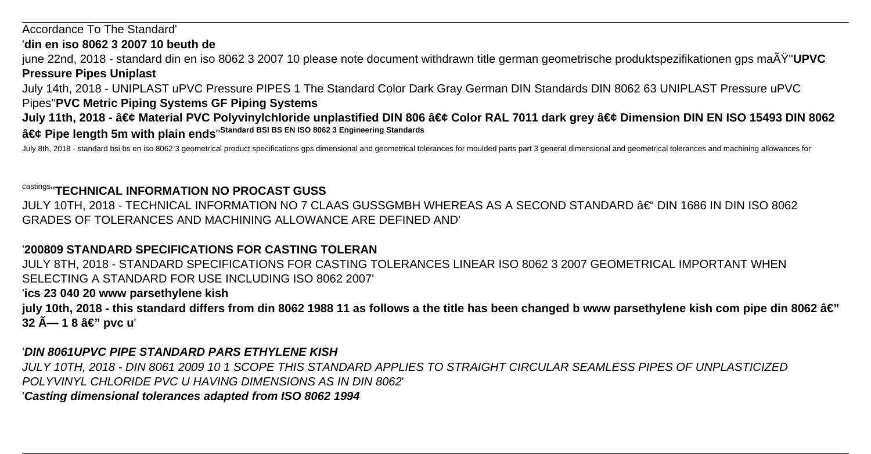Accordance To The Standard'

'**din en iso 8062 3 2007 10 beuth de**

june 22nd, 2018 - standard din en iso 8062 3 2007 10 please note document withdrawn title german geometrische produktspezifikationen gps maß''**UPVC Pressure Pipes Uniplast**

July 14th, 2018 - UNIPLAST uPVC Pressure PIPES 1 The Standard Color Dark Gray German DIN Standards DIN 8062 63 UNIPLAST Pressure uPVC

Pipes''**PVC Metric Piping Systems GF Piping Systems**

July 11th, 2018 - • Material PVC Polyvinylchloride unplastified DIN 806 • Color RAL 7011 dark grey • Dimension DIN EN ISO 15493 DIN 8062 • Pipe length 5m with plain ends<sup>'Standard BSI BS EN ISO 8062 3 Engineering Standards</sup>

July 8th, 2018 - standard bsi bs en iso 8062 3 geometrical product specifications gps dimensional and geometrical tolerances for moulded parts part 3 general dimensional and geometrical tolerances and machining allowances

### castings''**TECHNICAL INFORMATION NO PROCAST GUSS**

JULY 10TH, 2018 - TECHNICAL INFORMATION NO 7 CLAAS GUSSGMBH WHEREAS AS A SECOND STANDARD – DIN 1686 IN DIN ISO 8062 GRADES OF TOLERANCES AND MACHINING ALLOWANCE ARE DEFINED AND'

### '**200809 STANDARD SPECIFICATIONS FOR CASTING TOLERAN**

JULY 8TH, 2018 - STANDARD SPECIFICATIONS FOR CASTING TOLERANCES LINEAR ISO 8062 3 2007 GEOMETRICAL IMPORTANT WHEN SELECTING A STANDARD FOR USE INCLUDING ISO 8062 2007'

### '**ics 23 040 20 www parsethylene kish**

july 10th, 2018 - this standard differs from din 8062 1988 11 as follows a the title has been changed b www parsethylene kish com pipe din 8062 â€" **32 Å— 1 8 â€" pvc u** 

### '**DIN 8061UPVC PIPE STANDARD PARS ETHYLENE KISH**

JULY 10TH, 2018 - DIN 8061 2009 10 1 SCOPE THIS STANDARD APPLIES TO STRAIGHT CIRCULAR SEAMLESS PIPES OF UNPLASTICIZED POLYVINYL CHLORIDE PVC U HAVING DIMENSIONS AS IN DIN 8062'

### '**Casting dimensional tolerances adapted from ISO 8062 1994**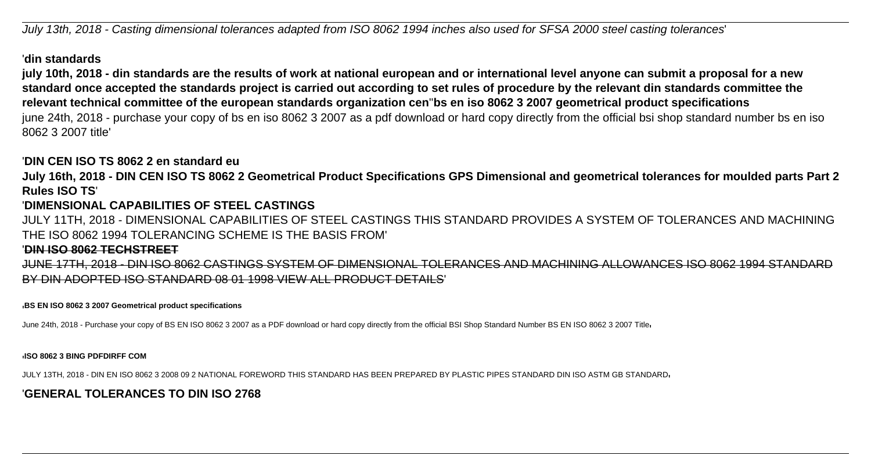July 13th, 2018 - Casting dimensional tolerances adapted from ISO 8062 1994 inches also used for SFSA 2000 steel casting tolerances'

### '**din standards**

**july 10th, 2018 - din standards are the results of work at national european and or international level anyone can submit a proposal for a new standard once accepted the standards project is carried out according to set rules of procedure by the relevant din standards committee the relevant technical committee of the european standards organization cen**''**bs en iso 8062 3 2007 geometrical product specifications** june 24th, 2018 - purchase your copy of bs en iso 8062 3 2007 as a pdf download or hard copy directly from the official bsi shop standard number bs en iso 8062 3 2007 title'

### '**DIN CEN ISO TS 8062 2 en standard eu**

**July 16th, 2018 - DIN CEN ISO TS 8062 2 Geometrical Product Specifications GPS Dimensional and geometrical tolerances for moulded parts Part 2 Rules ISO TS**'

### '**DIMENSIONAL CAPABILITIES OF STEEL CASTINGS**

JULY 11TH, 2018 - DIMENSIONAL CAPABILITIES OF STEEL CASTINGS THIS STANDARD PROVIDES A SYSTEM OF TOLERANCES AND MACHINING THE ISO 8062 1994 TOLERANCING SCHEME IS THE BASIS FROM'

### '**DIN ISO 8062 TECHSTREET**

JUNE 17TH, 2018 - DIN ISO 8062 CASTINGS SYSTEM OF DIMENSIONAL TOLERANCES AND MACHINING ALLOWANCES ISO 8062 1994 STANDARD BY DIN ADOPTED ISO STANDARD 08 01 1998 VIEW ALL PRODUCT DETAILS'

### '**BS EN ISO 8062 3 2007 Geometrical product specifications**

June 24th, 2018 - Purchase your copy of BS EN ISO 8062 3 2007 as a PDF download or hard copy directly from the official BSI Shop Standard Number BS EN ISO 8062 3 2007 Title<sub>'</sub>

'**ISO 8062 3 BING PDFDIRFF COM**

JULY 13TH, 2018 - DIN EN ISO 8062 3 2008 09 2 NATIONAL FOREWORD THIS STANDARD HAS BEEN PREPARED BY PLASTIC PIPES STANDARD DIN ISO ASTM GB STANDARD'

## '**GENERAL TOLERANCES TO DIN ISO 2768**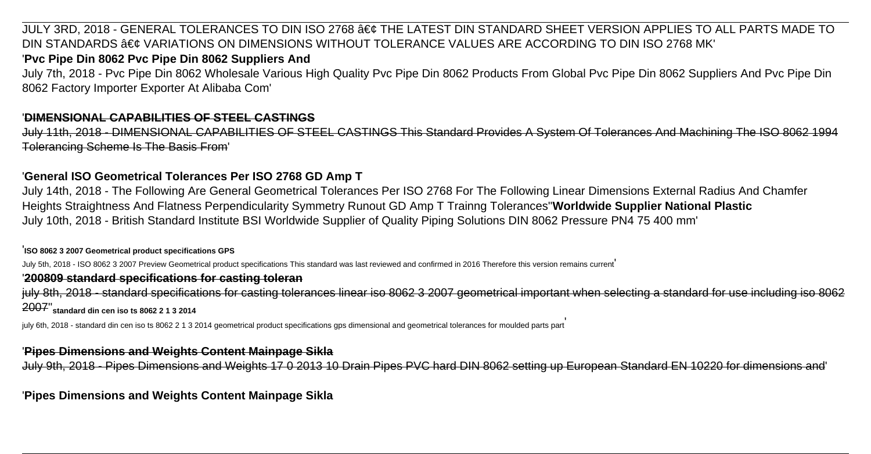JULY 3RD, 2018 - GENERAL TOLERANCES TO DIN ISO 2768 • THE LATEST DIN STANDARD SHEET VERSION APPLIES TO ALL PARTS MADE TO DIN STANDARDS  $\hat{a}\in\mathcal{C}$  variations on dimensions without tolerance values are according to din ISO 2768 MK'

## '**Pvc Pipe Din 8062 Pvc Pipe Din 8062 Suppliers And**

July 7th, 2018 - Pvc Pipe Din 8062 Wholesale Various High Quality Pvc Pipe Din 8062 Products From Global Pvc Pipe Din 8062 Suppliers And Pvc Pipe Din 8062 Factory Importer Exporter At Alibaba Com'

### '**DIMENSIONAL CAPABILITIES OF STEEL CASTINGS**

July 11th, 2018 - DIMENSIONAL CAPABILITIES OF STEEL CASTINGS This Standard Provides A System Of Tolerances And Machining The ISO 8062 1994 Tolerancing Scheme Is The Basis From'

### '**General ISO Geometrical Tolerances Per ISO 2768 GD Amp T**

July 14th, 2018 - The Following Are General Geometrical Tolerances Per ISO 2768 For The Following Linear Dimensions External Radius And Chamfer Heights Straightness And Flatness Perpendicularity Symmetry Runout GD Amp T Trainng Tolerances''**Worldwide Supplier National Plastic** July 10th, 2018 - British Standard Institute BSI Worldwide Supplier of Quality Piping Solutions DIN 8062 Pressure PN4 75 400 mm'

'**ISO 8062 3 2007 Geometrical product specifications GPS**

July 5th, 2018 - ISO 8062 3 2007 Preview Geometrical product specifications This standard was last reviewed and confirmed in 2016 Therefore this version remains current

### '**200809 standard specifications for casting toleran**

july 8th, 2018 - standard specifications for casting tolerances linear iso 8062 3 2007 geometrical important when selecting a standard for use including iso 806 2007''**standard din cen iso ts 8062 2 1 3 2014**

july 6th, 2018 - standard din cen iso ts 8062 2 1 3 2014 geometrical product specifications gps dimensional and geometrical tolerances for moulded parts part

### '**Pipes Dimensions and Weights Content Mainpage Sikla**

July 9th, 2018 - Pipes Dimensions and Weights 17 0 2013 10 Drain Pipes PVC hard DIN 8062 setting up European Standard EN 10220 for dimensions

'**Pipes Dimensions and Weights Content Mainpage Sikla**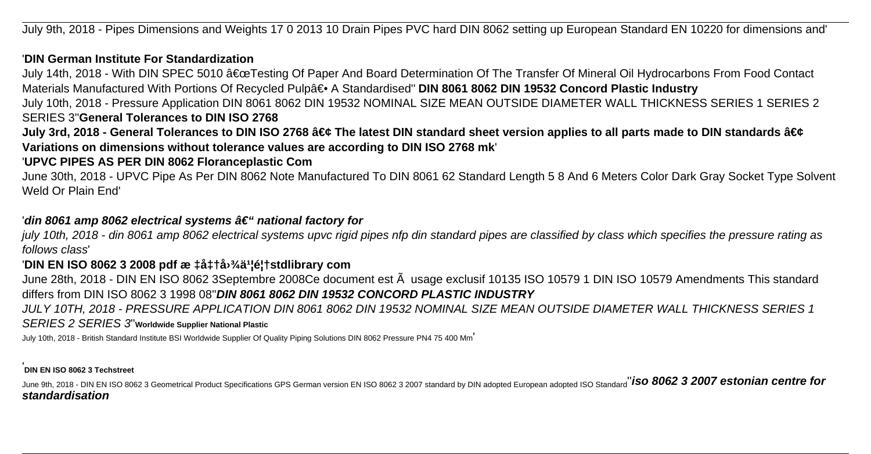July 9th, 2018 - Pipes Dimensions and Weights 17 0 2013 10 Drain Pipes PVC hard DIN 8062 setting up European Standard EN 10220 for dimensions and'

### '**DIN German Institute For Standardization**

July 14th, 2018 - With DIN SPEC 5010 "Testing Of Paper And Board Determination Of The Transfer Of Mineral Oil Hydrocarbons From Food Contact Materials Manufactured With Portions Of Recycled Pulpa<sup>∈</sup>• A Standardised" DIN 8061 8062 DIN 19532 Concord Plastic Industry

July 10th, 2018 - Pressure Application DIN 8061 8062 DIN 19532 NOMINAL SIZE MEAN OUTSIDE DIAMETER WALL THICKNESS SERIES 1 SERIES 2 SERIES 3''**General Tolerances to DIN ISO 2768**

July 3rd, 2018 - General Tolerances to DIN ISO 2768 • The latest DIN standard sheet version applies to all parts made to DIN standards • **Variations on dimensions without tolerance values are according to DIN ISO 2768 mk**'

### '**UPVC PIPES AS PER DIN 8062 Floranceplastic Com**

June 30th, 2018 - UPVC Pipe As Per DIN 8062 Note Manufactured To DIN 8061 62 Standard Length 5 8 And 6 Meters Color Dark Gray Socket Type Solvent Weld Or Plain End'

### 'din 8061 amp 8062 electrical systems – national factory for

july 10th, 2018 - din 8061 amp 8062 electrical systems upvc rigid pipes nfp din standard pipes are classified by class which specifies the pressure rating as follows class'

### 'DIN EN ISO 8062 3 2008 pdf æ ‡å‡†å<sup>, 3</sup>⁄4ä<sup>1</sup>¦é¦†stdlibrary com

June 28th, 2018 - DIN EN ISO 8062 3Septembre 2008Ce document est à usage exclusif 10135 ISO 10579 1 DIN ISO 10579 Amendments This standard differs from DIN ISO 8062 3 1998 08''**DIN 8061 8062 DIN 19532 CONCORD PLASTIC INDUSTRY**

JULY 10TH, 2018 - PRESSURE APPLICATION DIN 8061 8062 DIN 19532 NOMINAL SIZE MEAN OUTSIDE DIAMETER WALL THICKNESS SERIES 1 SERIES 2 SERIES 3''**Worldwide Supplier National Plastic**

July 10th, 2018 - British Standard Institute BSI Worldwide Supplier Of Quality Piping Solutions DIN 8062 Pressure PN4 75 400 Mm'

#### '**DIN EN ISO 8062 3 Techstreet**

June 9th, 2018 - DIN EN ISO 8062 3 Geometrical Product Specifications GPS German version EN ISO 8062 3 2007 standard by DIN adopted European adopted ISO Standard<sup>"</sup> iSO 8062 3 2007 estonian centre for **standardisation**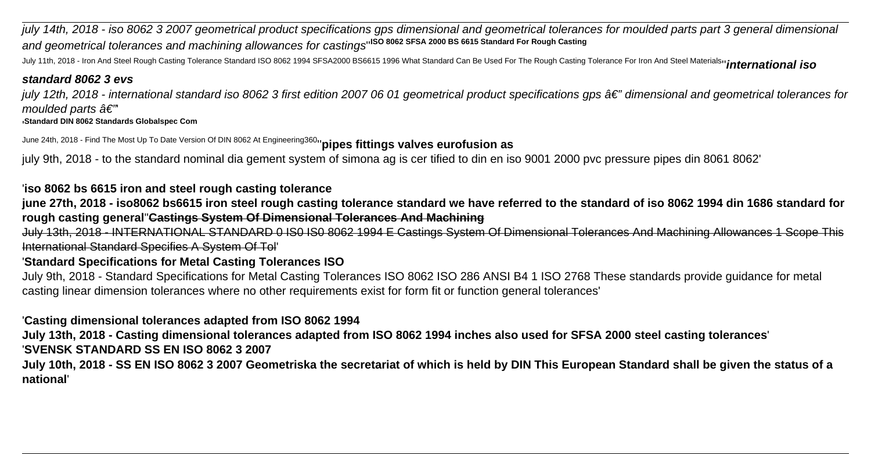july 14th, 2018 - iso 8062 3 2007 geometrical product specifications gps dimensional and geometrical tolerances for moulded parts part 3 general dimensional and geometrical tolerances and machining allowances for castings''**ISO 8062 SFSA 2000 BS 6615 Standard For Rough Casting**

July 11th, 2018 - Iron And Steel Rough Casting Tolerance Standard ISO 8062 1994 SFSA2000 BS6615 1996 What Standard Can Be Used For The Rough Casting Tolerance For Iron And Steel Materials''**international iso**

### **standard 8062 3 evs**

july 12th, 2018 - international standard iso 8062 3 first edition 2007 06 01 geometrical product specifications gps  $\hat{a}\epsilon$ " dimensional and geometrical tolerances for moulded parts  $\hat{a}\in$ "

'**Standard DIN 8062 Standards Globalspec Com**

June 24th, 2018 - Find The Most Up To Date Version Of DIN 8062 At Engineering360''**pipes fittings valves eurofusion as**

july 9th, 2018 - to the standard nominal dia gement system of simona ag is cer tified to din en iso 9001 2000 pvc pressure pipes din 8061 8062'

'**iso 8062 bs 6615 iron and steel rough casting tolerance**

**june 27th, 2018 - iso8062 bs6615 iron steel rough casting tolerance standard we have referred to the standard of iso 8062 1994 din 1686 standard for rough casting general**''**Castings System Of Dimensional Tolerances And Machining**

July 13th, 2018 - INTERNATIONAL STANDARD 0 IS0 IS0 8062 1994 E Castings System Of Dimensional Tolerances And Machining Allowances 1 Scope This International Standard Specifies A System Of Tol'

## '**Standard Specifications for Metal Casting Tolerances ISO**

July 9th, 2018 - Standard Specifications for Metal Casting Tolerances ISO 8062 ISO 286 ANSI B4 1 ISO 2768 These standards provide guidance for metal casting linear dimension tolerances where no other requirements exist for form fit or function general tolerances'

'**Casting dimensional tolerances adapted from ISO 8062 1994**

**July 13th, 2018 - Casting dimensional tolerances adapted from ISO 8062 1994 inches also used for SFSA 2000 steel casting tolerances**'

'**SVENSK STANDARD SS EN ISO 8062 3 2007**

**July 10th, 2018 - SS EN ISO 8062 3 2007 Geometriska the secretariat of which is held by DIN This European Standard shall be given the status of a national**'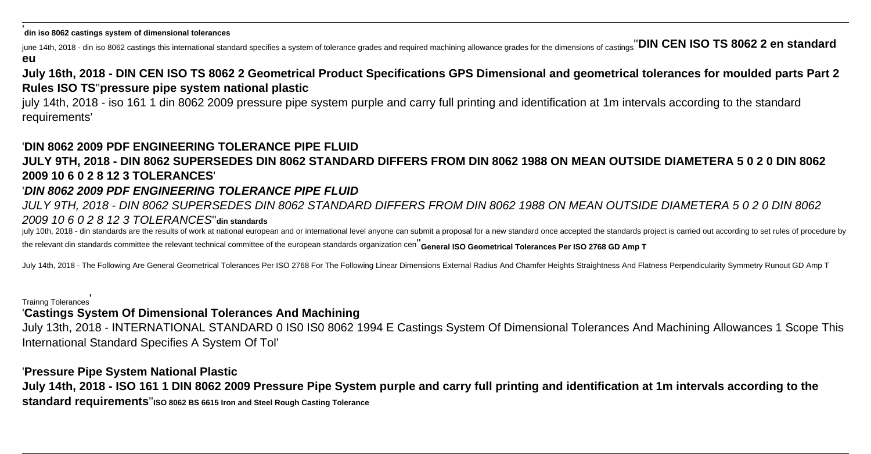'**din iso 8062 castings system of dimensional tolerances**

june 14th, 2018 - din iso 8062 castings this international standard specifies a system of tolerance grades and required machining allowance grades for the dimensions of castings''**DIN CEN ISO TS 8062 2 en standard eu**

**July 16th, 2018 - DIN CEN ISO TS 8062 2 Geometrical Product Specifications GPS Dimensional and geometrical tolerances for moulded parts Part 2 Rules ISO TS**''**pressure pipe system national plastic**

july 14th, 2018 - iso 161 1 din 8062 2009 pressure pipe system purple and carry full printing and identification at 1m intervals according to the standard requirements'

## '**DIN 8062 2009 PDF ENGINEERING TOLERANCE PIPE FLUID**

# **JULY 9TH, 2018 - DIN 8062 SUPERSEDES DIN 8062 STANDARD DIFFERS FROM DIN 8062 1988 ON MEAN OUTSIDE DIAMETERA 5 0 2 0 DIN 8062 2009 10 6 0 2 8 12 3 TOLERANCES**'

## '**DIN 8062 2009 PDF ENGINEERING TOLERANCE PIPE FLUID**

JULY 9TH, 2018 - DIN 8062 SUPERSEDES DIN 8062 STANDARD DIFFERS FROM DIN 8062 1988 ON MEAN OUTSIDE DIAMETERA 5 0 2 0 DIN 8062 2009 10 6 0 2 8 12 3 TOLERANCES''**din standards**

iuly 10th. 2018 - din standards are the results of work at national european and or international level anyone can submit a proposal for a new standard once accepted the standards project is carried out according to set ru the relevant din standards committee the relevant technical committee of the european standards organization cen''**General ISO Geometrical Tolerances Per ISO 2768 GD Amp T**

July 14th, 2018 - The Following Are General Geometrical Tolerances Per ISO 2768 For The Following Linear Dimensions External Radius And Chamfer Heights Straightness And Flatness Perpendicularity Symmetry Runout GD Amp T

### Trainng Tolerances'

## '**Castings System Of Dimensional Tolerances And Machining**

July 13th, 2018 - INTERNATIONAL STANDARD 0 IS0 IS0 8062 1994 E Castings System Of Dimensional Tolerances And Machining Allowances 1 Scope This International Standard Specifies A System Of Tol'

## '**Pressure Pipe System National Plastic**

**July 14th, 2018 - ISO 161 1 DIN 8062 2009 Pressure Pipe System purple and carry full printing and identification at 1m intervals according to the standard requirements**''**ISO 8062 BS 6615 Iron and Steel Rough Casting Tolerance**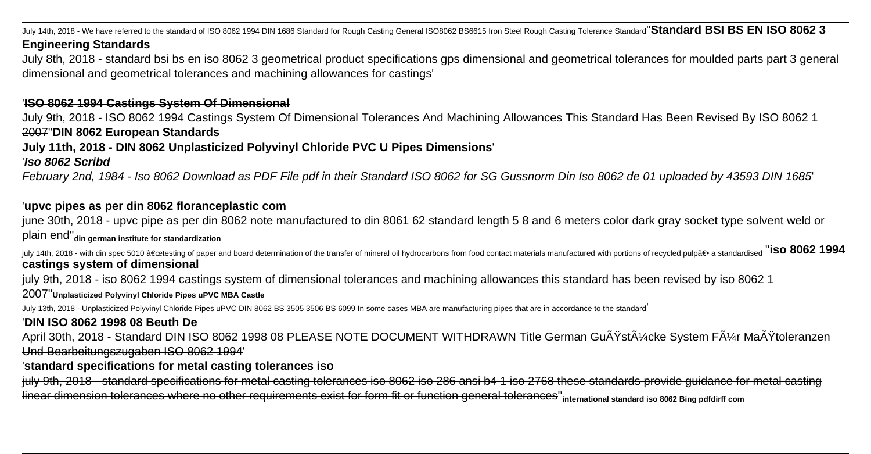July 14th, 2018 - We have referred to the standard of ISO 8062 1994 DIN 1686 Standard for Rough Casting General ISO8062 BS6615 Iron Steel Rough Casting Tolerance Standard<sup>''</sup>Standard BSI BS EN ISO 8062 3

### **Engineering Standards**

July 8th, 2018 - standard bsi bs en iso 8062 3 geometrical product specifications gps dimensional and geometrical tolerances for moulded parts part 3 general dimensional and geometrical tolerances and machining allowances for castings'

### '**ISO 8062 1994 Castings System Of Dimensional**

July 9th, 2018 - ISO 8062 1994 Castings System Of Dimensional Tolerances And Machining Allowances This Standard Has Been Revised By ISO 8062 1 2007''**DIN 8062 European Standards**

## **July 11th, 2018 - DIN 8062 Unplasticized Polyvinyl Chloride PVC U Pipes Dimensions**'

'**Iso 8062 Scribd**

February 2nd, 1984 - Iso 8062 Download as PDF File pdf in their Standard ISO 8062 for SG Gussnorm Din Iso 8062 de 01 uploaded by 43593 DIN 1685'

### '**upvc pipes as per din 8062 floranceplastic com**

june 30th, 2018 - upvc pipe as per din 8062 note manufactured to din 8061 62 standard length 5 8 and 6 meters color dark gray socket type solvent weld or plain end''**din german institute for standardization**

july 14th, 2018 - with din spec 5010 "testing of paper and board determination of the transfer of mineral oil hydrocarbons from food contact materials manufactured with portions of recycled pulp― a standardised "ISO 8 **castings system of dimensional**

july 9th, 2018 - iso 8062 1994 castings system of dimensional tolerances and machining allowances this standard has been revised by iso 8062 1

2007''**Unplasticized Polyvinyl Chloride Pipes uPVC MBA Castle**

July 13th, 2018 - Unplasticized Polyvinyl Chloride Pipes uPVC DIN 8062 BS 3505 3506 BS 6099 In some cases MBA are manufacturing pipes that are in accordance to the standard'

### '**DIN ISO 8062 1998 08 Beuth De**

April 30th, 2018 - Standard DIN ISO 8062 1998 08 PLEASE NOTE DOCUMENT WITHDRAWN Title German Gußstücke System Für Maßtoleranzen Und Bearbeitungszugaben ISO 8062 1994'

### '**standard specifications for metal casting tolerances iso**

july 9th, 2018 - standard specifications for metal casting tolerances iso 8062 iso 286 ansi b4 1 iso 2768 these standards provide guidance for metal casting linear dimension tolerances where no other requirements exist for form fit or function general tolerances''**international standard iso 8062 Bing pdfdirff com**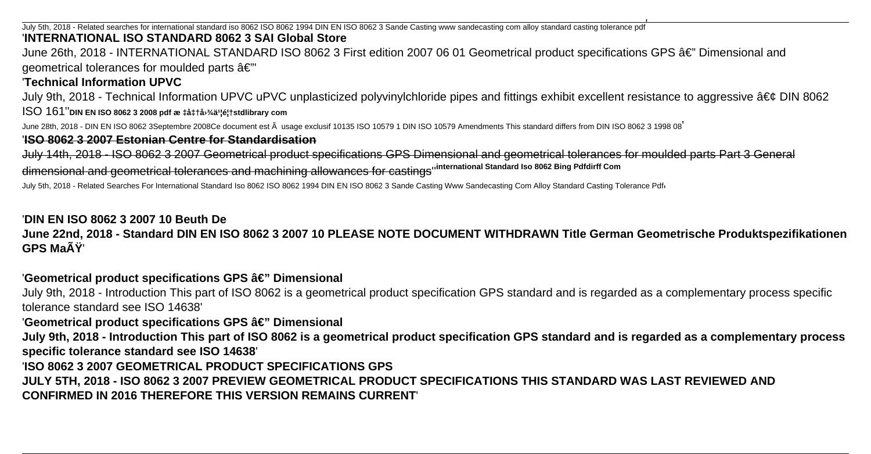July 5th, 2018 - Related searches for international standard iso 8062 ISO 8062 1994 DIN EN ISO 8062 3 Sande Casting www sandecasting com alloy standard casting tolerance pdf '**INTERNATIONAL ISO STANDARD 8062 3 SAI Global Store**

June 26th, 2018 - INTERNATIONAL STANDARD ISO 8062 3 First edition 2007 06 01 Geometrical product specifications GPS â€" Dimensional and geometrical tolerances for moulded parts  $\hat{a} \in \mathbb{Z}^n$ 

### '**Technical Information UPVC**

July 9th, 2018 - Technical Information UPVC uPVC unplasticized polyvinylchloride pipes and fittings exhibit excellent resistance to aggressive  $\hat{a} \in \mathcal{C}$  DIN 8062 ISO 161''**DIN EN ISO 8062 3 2008 pdf æ ‡å‡†å›¾ä¹¦é¦†stdlibrary com**

June 28th, 2018 - DIN EN ISO 8062 3Septembre 2008Ce document est  $\tilde{A}$  usage exclusif 10135 ISO 10579 1 DIN ISO 10579 Amendments This standard differs from DIN ISO 8062 3 1998 08

### '**ISO 8062 3 2007 Estonian Centre for Standardisation**

July 14th, 2018 - ISO 8062 3 2007 Geometrical product specifications GPS Dimensional and geometrical tolerances for moulded parts Part 3 General dimensional and geometrical tolerances and machining allowances for castings''**international Standard Iso 8062 Bing Pdfdirff Com**

July 5th, 2018 - Related Searches For International Standard Iso 8062 ISO 8062 1994 DIN EN ISO 8062 3 Sande Casting Www Sandecasting Com Alloy Standard Casting Tolerance Pdfi

### '**DIN EN ISO 8062 3 2007 10 Beuth De**

**June 22nd, 2018 - Standard DIN EN ISO 8062 3 2007 10 PLEASE NOTE DOCUMENT WITHDRAWN Title German Geometrische Produktspezifikationen GPS Maß**'

### 'Geometrical product specifications GPS â€" Dimensional

July 9th, 2018 - Introduction This part of ISO 8062 is a geometrical product specification GPS standard and is regarded as a complementary process specific tolerance standard see ISO 14638'

### 'Geometrical product specifications GPS â€" Dimensional

**July 9th, 2018 - Introduction This part of ISO 8062 is a geometrical product specification GPS standard and is regarded as a complementary process specific tolerance standard see ISO 14638**'

### '**ISO 8062 3 2007 GEOMETRICAL PRODUCT SPECIFICATIONS GPS**

**JULY 5TH, 2018 - ISO 8062 3 2007 PREVIEW GEOMETRICAL PRODUCT SPECIFICATIONS THIS STANDARD WAS LAST REVIEWED AND CONFIRMED IN 2016 THEREFORE THIS VERSION REMAINS CURRENT**'